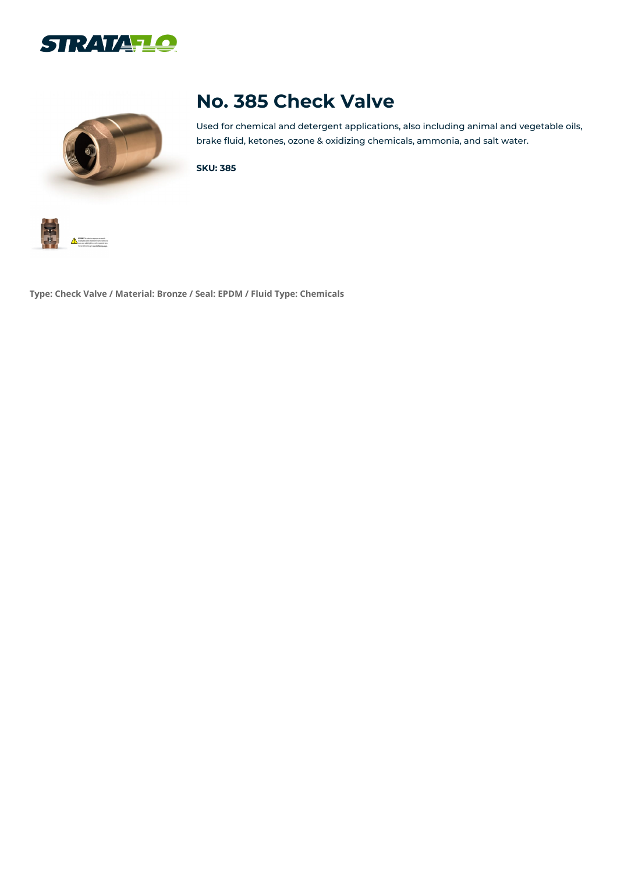



# **No. 385 Check Valve**

Used for chemical and detergent applications, also including animal and vegetable oils, brake fluid, ketones, ozone & oxidizing chemicals, ammonia, and salt water.

**SKU: 385**



**Type: Check Valve / Material: Bronze / Seal: EPDM / Fluid Type: Chemicals**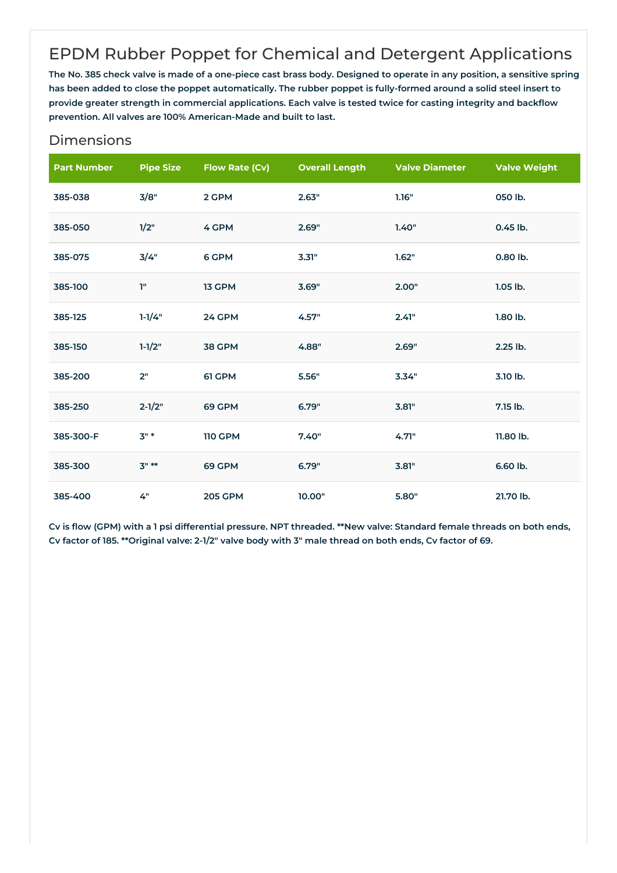## EPDM Rubber Poppet for Chemical and Detergent Applications

The No. 385 check valve is made of a one-piece cast brass body. Designed to operate in any position, a sensitive spring has been added to close the poppet automatically. The rubber poppet is fully-formed around a solid steel insert to provide greater strength in commercial applications. Each valve is tested twice for casting integrity and backflow **prevention. All valves are 100% American-Made and built to last.**

| <b>Part Number</b> | <b>Pipe Size</b> | <b>Flow Rate (Cv)</b> | <b>Overall Length</b> | <b>Valve Diameter</b> | <b>Valve Weight</b> |
|--------------------|------------------|-----------------------|-----------------------|-----------------------|---------------------|
| 385-038            | 3/8"             | 2 GPM                 | 2.63"                 | 1.16"                 | 050 lb.             |
| 385-050            | 1/2"             | 4 GPM                 | 2.69"                 | 1.40"                 | 0.45 lb.            |
| 385-075            | 3/4"             | 6 GPM                 | 3.31"                 | 1.62"                 | 0.80 lb.            |
| 385-100            | T"               | 13 GPM                | 3.69"                 | 2.00"                 | $1.05$ lb.          |
| 385-125            | $1 - 1/4"$       | 24 GPM                | 4.57"                 | 2.41"                 | 1.80 lb.            |
| 385-150            | $1 - 1/2"$       | <b>38 GPM</b>         | 4.88"                 | 2.69"                 | 2.25 lb.            |
| 385-200            | 2"               | 61 GPM                | 5.56"                 | 3.34"                 | 3.10 lb.            |
| 385-250            | $2 - 1/2"$       | 69 GPM                | 6.79"                 | 3.81"                 | 7.15 lb.            |
| 385-300-F          | $3"$ *           | <b>110 GPM</b>        | 7.40"                 | 4.71"                 | 11.80 lb.           |
| 385-300            | $3" **$          | 69 GPM                | 6.79"                 | 3.81"                 | 6.60 lb.            |
| 385-400            | 4"               | <b>205 GPM</b>        | 10.00"                | 5.80"                 | 21.70 lb.           |

#### Dimensions

Cv is flow (GPM) with a 1 psi differential pressure. NPT threaded. \*\*New valve: Standard female threads on both ends, Cv factor of 185. \*\* Original valve: 2-1/2" valve body with 3" male thread on both ends, Cv factor of 69.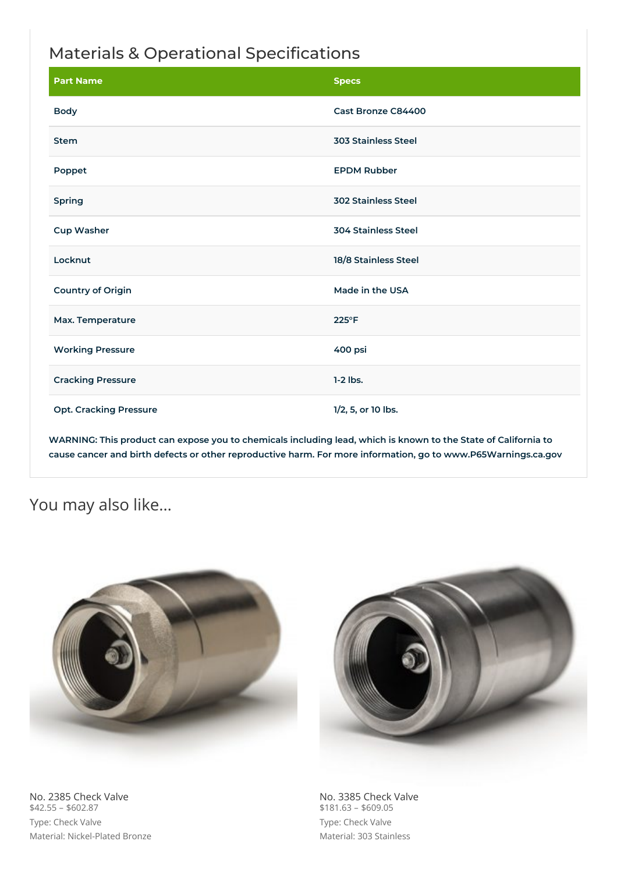## Materials & Operational Specifications

| <b>Part Name</b>              | <b>Specs</b>               |
|-------------------------------|----------------------------|
| <b>Body</b>                   | Cast Bronze C84400         |
| <b>Stem</b>                   | <b>303 Stainless Steel</b> |
| Poppet                        | <b>EPDM Rubber</b>         |
| Spring                        | <b>302 Stainless Steel</b> |
| <b>Cup Washer</b>             | <b>304 Stainless Steel</b> |
| Locknut                       | 18/8 Stainless Steel       |
| <b>Country of Origin</b>      | Made in the USA            |
| Max. Temperature              | $225^{\circ}F$             |
| <b>Working Pressure</b>       | 400 psi                    |
| <b>Cracking Pressure</b>      | $1-2$ lbs.                 |
| <b>Opt. Cracking Pressure</b> | 1/2, 5, or 10 lbs.         |

WARNING: This product can expose you to chemicals including lead, which is known to the State of California to **cause cancer and birth defects or other reproductive harm. For more information, go to www.P65Warnings.ca.gov**

### You may also like…



No. 2385 Check Valve  $$42.55 - $602.87$ Type: Check Valve Material: Nickel-Plated Bronze



No. 3385 Check Valve  $$181.63 - $609.05$ Type: Check Valve Material: 303 Stainless